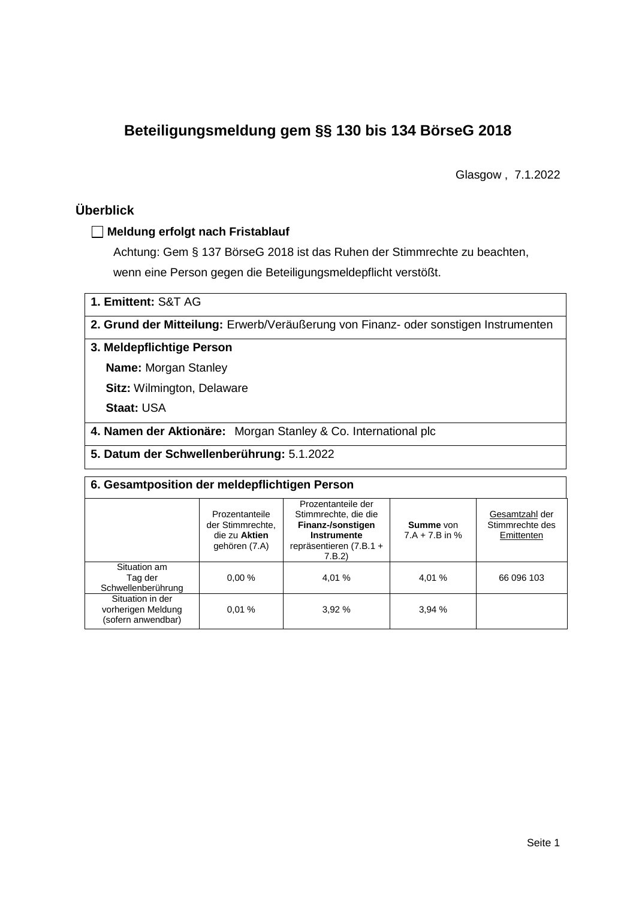# **Beteiligungsmeldung gem §§ 130 bis 134 BörseG 2018**

Glasgow , 7.1.2022

# **Überblick**

## **Meldung erfolgt nach Fristablauf**

Achtung: Gem § 137 BörseG 2018 ist das Ruhen der Stimmrechte zu beachten, wenn eine Person gegen die Beteiligungsmeldepflicht verstößt.

**1. Emittent:** S&T AG

**2. Grund der Mitteilung:** Erwerb/Veräußerung von Finanz- oder sonstigen Instrumenten

### **3. Meldepflichtige Person**

**Name:** Morgan Stanley

**Sitz:** Wilmington, Delaware

**Staat:** USA

**4. Namen der Aktionäre:** Morgan Stanley & Co. International plc

**5. Datum der Schwellenberührung:** 5.1.2022

| 6. Gesamtposition der meldepflichtigen Person                |                                                                      |                                                                                                                           |                                      |                                                 |  |  |  |
|--------------------------------------------------------------|----------------------------------------------------------------------|---------------------------------------------------------------------------------------------------------------------------|--------------------------------------|-------------------------------------------------|--|--|--|
|                                                              | Prozentanteile<br>der Stimmrechte.<br>die zu Aktien<br>gehören (7.A) | Prozentanteile der<br>Stimmrechte, die die<br>Finanz-/sonstigen<br><b>Instrumente</b><br>repräsentieren (7.B.1 +<br>7.B.2 | <b>Summe</b> von<br>$7.A + 7.B$ in % | Gesamtzahl der<br>Stimmrechte des<br>Emittenten |  |  |  |
| Situation am<br>Tag der<br>Schwellenberührung                | 0.00%                                                                | 4,01 %                                                                                                                    | 4,01 %                               | 66 096 103                                      |  |  |  |
| Situation in der<br>vorherigen Meldung<br>(sofern anwendbar) | 0.01%                                                                | 3.92%                                                                                                                     | 3.94%                                |                                                 |  |  |  |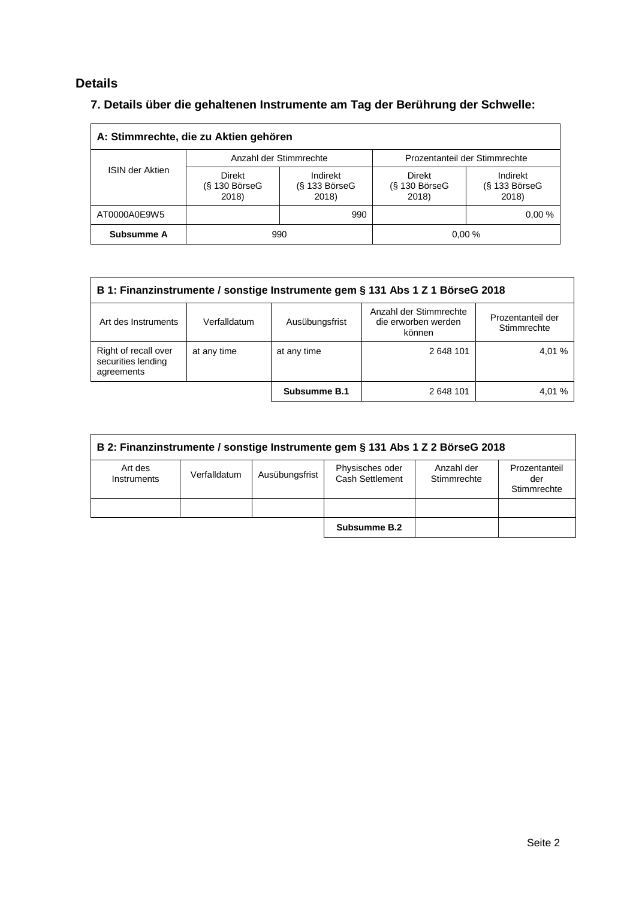# **Details**

# **7. Details über die gehaltenen Instrumente am Tag der Berührung der Schwelle:**

| A: Stimmrechte, die zu Aktien gehören |                                    |                                      |                                           |                                    |  |  |  |
|---------------------------------------|------------------------------------|--------------------------------------|-------------------------------------------|------------------------------------|--|--|--|
|                                       | Anzahl der Stimmrechte             |                                      | Prozentanteil der Stimmrechte             |                                    |  |  |  |
| ISIN der Aktien                       | Direkt<br>$(S$ 130 BörseG<br>2018) | Indirekt<br>$(S$ 133 BörseG<br>2018) | <b>Direkt</b><br>$(S$ 130 BörseG<br>2018) | Indirekt<br>(§ 133 BörseG<br>2018) |  |  |  |
| AT0000A0E9W5                          |                                    | 0.00%                                |                                           |                                    |  |  |  |
| Subsumme A                            |                                    | 990                                  |                                           | 0.00%                              |  |  |  |

| B 1: Finanzinstrumente / sonstige Instrumente gem § 131 Abs 1 Z 1 BörseG 2018 |              |                |                                                         |                                  |  |  |
|-------------------------------------------------------------------------------|--------------|----------------|---------------------------------------------------------|----------------------------------|--|--|
| Art des Instruments                                                           | Verfalldatum | Ausübungsfrist | Anzahl der Stimmrechte<br>die erworben werden<br>können | Prozentanteil der<br>Stimmrechte |  |  |
| Right of recall over<br>at any time<br>securities lending<br>agreements       |              | at any time    | 2 648 101                                               | 4.01 %                           |  |  |
|                                                                               |              | Subsumme B.1   | 2648101                                                 | 4.01 %                           |  |  |

| B 2: Finanzinstrumente / sonstige Instrumente gem § 131 Abs 1 Z 2 BörseG 2018 |              |                |                                    |                           |                                     |  |  |
|-------------------------------------------------------------------------------|--------------|----------------|------------------------------------|---------------------------|-------------------------------------|--|--|
| Art des<br>Instruments                                                        | Verfalldatum | Ausübungsfrist | Physisches oder<br>Cash Settlement | Anzahl der<br>Stimmrechte | Prozentanteil<br>der<br>Stimmrechte |  |  |
|                                                                               |              |                |                                    |                           |                                     |  |  |
|                                                                               |              |                | Subsumme B.2                       |                           |                                     |  |  |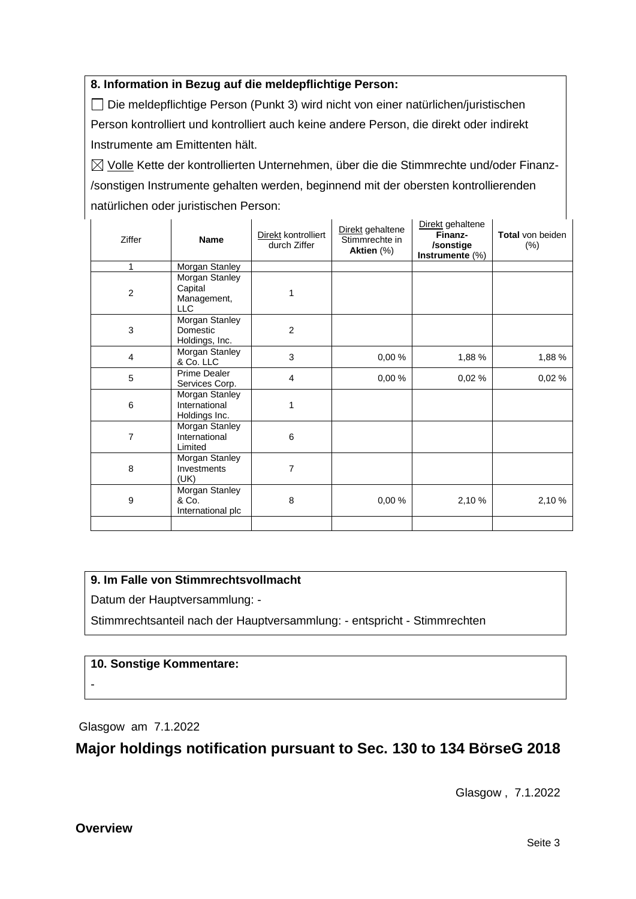## **8. Information in Bezug auf die meldepflichtige Person:**

Die meldepflichtige Person (Punkt 3) wird nicht von einer natürlichen/juristischen Person kontrolliert und kontrolliert auch keine andere Person, die direkt oder indirekt Instrumente am Emittenten hält.

 $\boxtimes$  Volle Kette der kontrollierten Unternehmen, über die die Stimmrechte und/oder Finanz-/sonstigen Instrumente gehalten werden, beginnend mit der obersten kontrollierenden natürlichen oder juristischen Person:

| Ziffer         | <b>Name</b>                                            | Direkt kontrolliert<br>durch Ziffer | Direkt gehaltene<br>Stimmrechte in<br>Aktien (%) | Direkt gehaltene<br>Finanz-<br>/sonstige<br>Instrumente $(\%)$ | <b>Total</b> von beiden<br>$(\%)$ |
|----------------|--------------------------------------------------------|-------------------------------------|--------------------------------------------------|----------------------------------------------------------------|-----------------------------------|
| 1              | Morgan Stanley                                         |                                     |                                                  |                                                                |                                   |
| $\overline{c}$ | Morgan Stanley<br>Capital<br>Management,<br><b>LLC</b> | 1                                   |                                                  |                                                                |                                   |
| 3              | Morgan Stanley<br>Domestic<br>Holdings, Inc.           | $\overline{2}$                      |                                                  |                                                                |                                   |
| 4              | Morgan Stanley<br>& Co. LLC                            | 3                                   | 0,00%                                            | 1,88 %                                                         | 1,88%                             |
| 5              | Prime Dealer<br>Services Corp.                         | $\overline{4}$                      | 0,00%                                            | 0,02%                                                          | 0,02%                             |
| 6              | Morgan Stanley<br>International<br>Holdings Inc.       |                                     |                                                  |                                                                |                                   |
| 7              | Morgan Stanley<br>International<br>Limited             | 6                                   |                                                  |                                                                |                                   |
| 8              | Morgan Stanley<br>Investments<br>(UK)                  | 7                                   |                                                  |                                                                |                                   |
| 9              | <b>Morgan Stanley</b><br>& Co.<br>International plc    | 8                                   | 0,00%                                            | 2,10 %                                                         | 2,10 %                            |
|                |                                                        |                                     |                                                  |                                                                |                                   |

## **9. Im Falle von Stimmrechtsvollmacht**

Datum der Hauptversammlung: -

Stimmrechtsanteil nach der Hauptversammlung: - entspricht - Stimmrechten

## **10. Sonstige Kommentare:**

-

Glasgow am 7.1.2022

# **Major holdings notification pursuant to Sec. 130 to 134 BörseG 2018**

Glasgow , 7.1.2022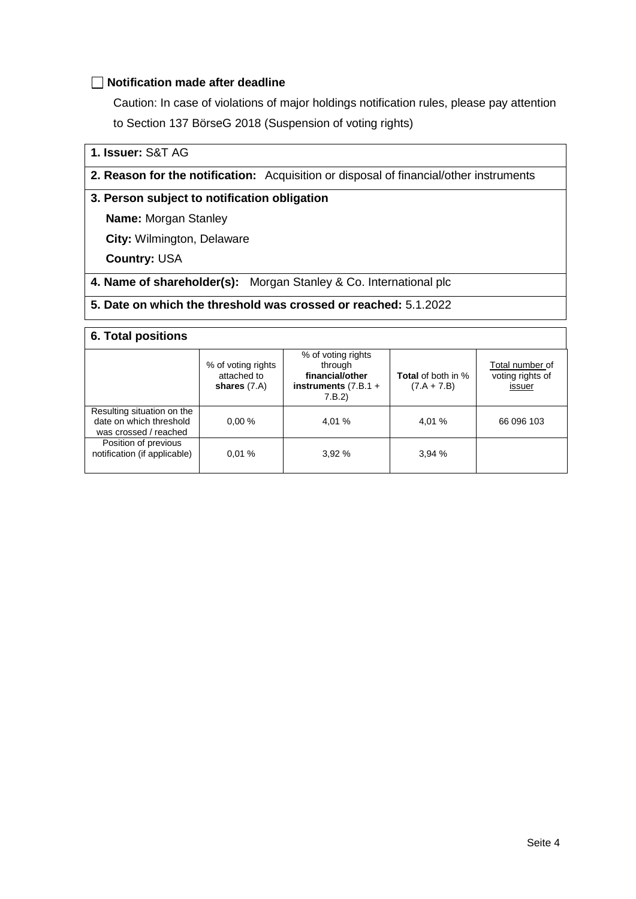#### **Notification made after deadline**

Caution: In case of violations of major holdings notification rules, please pay attention to Section 137 BörseG 2018 (Suspension of voting rights)

**1. Issuer:** S&T AG

**2. Reason for the notification:** Acquisition or disposal of financial/other instruments

#### **3. Person subject to notification obligation**

**Name:** Morgan Stanley

**City:** Wilmington, Delaware

**Country:** USA

#### **4. Name of shareholder(s):** Morgan Stanley & Co. International plc

#### **5. Date on which the threshold was crossed or reached:** 5.1.2022

## **6. Total positions**

|                                                                                | % of voting rights<br>attached to<br>shares $(7.A)$ | % of voting rights<br>through<br>financial/other<br>instruments $(7.B.1 +$<br>7.B.2 | <b>Total</b> of both in %<br>$(7.A + 7.B)$ | Total number of<br>voting rights of<br>issuer |  |  |  |  |
|--------------------------------------------------------------------------------|-----------------------------------------------------|-------------------------------------------------------------------------------------|--------------------------------------------|-----------------------------------------------|--|--|--|--|
| Resulting situation on the<br>date on which threshold<br>was crossed / reached | 0.00%                                               | 4,01 %                                                                              | 4,01 %                                     | 66 096 103                                    |  |  |  |  |
| Position of previous<br>notification (if applicable)                           | 0.01%                                               | 3.92%                                                                               | 3,94%                                      |                                               |  |  |  |  |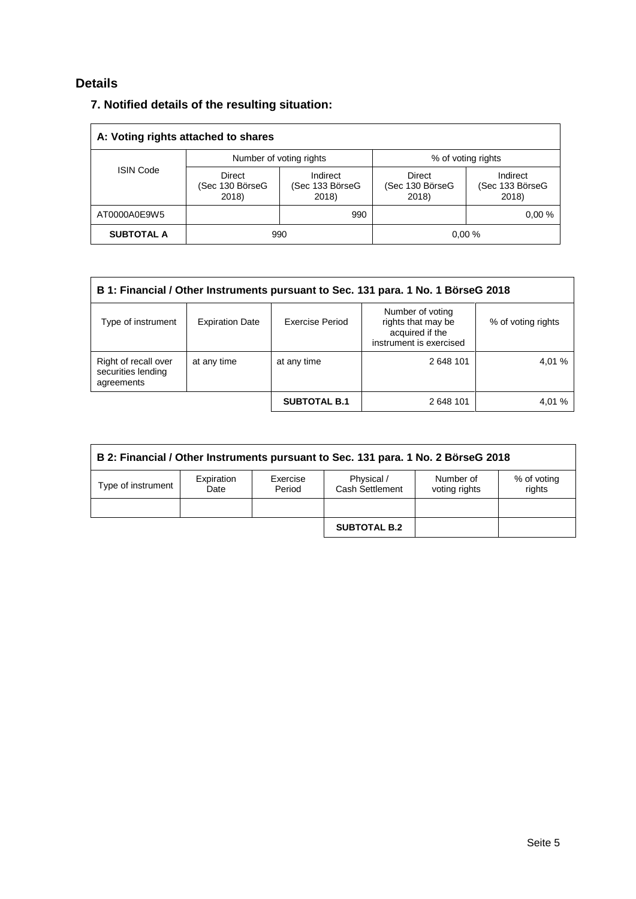# **Details**

# **7. Notified details of the resulting situation:**

| A: Voting rights attached to shares |                                    |                                      |                                    |                                      |  |  |  |
|-------------------------------------|------------------------------------|--------------------------------------|------------------------------------|--------------------------------------|--|--|--|
|                                     |                                    | Number of voting rights              | % of voting rights                 |                                      |  |  |  |
| <b>ISIN Code</b>                    | Direct<br>(Sec 130 BörseG<br>2018) | Indirect<br>(Sec 133 BörseG<br>2018) | Direct<br>(Sec 130 BörseG<br>2018) | Indirect<br>(Sec 133 BörseG<br>2018) |  |  |  |
| AT0000A0E9W5                        |                                    | 990                                  |                                    | 0.00%                                |  |  |  |
| <b>SUBTOTAL A</b>                   |                                    | 990                                  |                                    | 0.00%                                |  |  |  |

| B 1: Financial / Other Instruments pursuant to Sec. 131 para. 1 No. 1 BörseG 2018 |                        |                     |                                                                                      |                    |  |  |
|-----------------------------------------------------------------------------------|------------------------|---------------------|--------------------------------------------------------------------------------------|--------------------|--|--|
| Type of instrument                                                                | <b>Expiration Date</b> | Exercise Period     | Number of voting<br>rights that may be<br>acquired if the<br>instrument is exercised | % of voting rights |  |  |
| Right of recall over<br>securities lending<br>agreements                          | at any time            | at any time         | 2 648 101                                                                            | 4,01 %             |  |  |
|                                                                                   |                        | <b>SUBTOTAL B.1</b> | 2648101                                                                              | 4.01 %             |  |  |

| B 2: Financial / Other Instruments pursuant to Sec. 131 para. 1 No. 2 BörseG 2018 |                    |                    |                               |                            |                       |  |  |
|-----------------------------------------------------------------------------------|--------------------|--------------------|-------------------------------|----------------------------|-----------------------|--|--|
| Type of instrument                                                                | Expiration<br>Date | Exercise<br>Period | Physical /<br>Cash Settlement | Number of<br>voting rights | % of voting<br>rights |  |  |
|                                                                                   |                    |                    |                               |                            |                       |  |  |
|                                                                                   |                    |                    | <b>SUBTOTAL B.2</b>           |                            |                       |  |  |